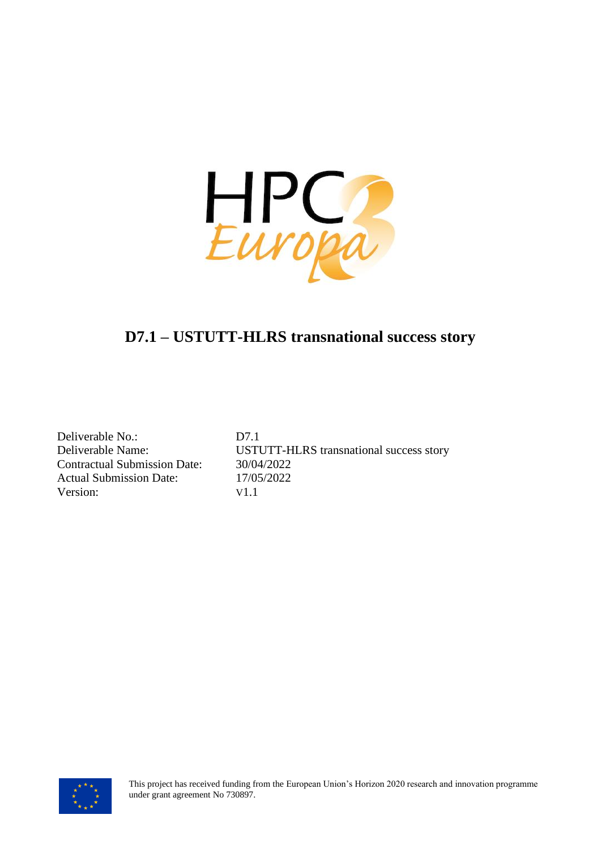

## **D7.1 – USTUTT-HLRS transnational success story**

Deliverable No.: D7.1 Contractual Submission Date: 30/04/2022 Actual Submission Date: 17/05/2022 Version: V1.1

Deliverable Name: USTUTT-HLRS transnational success story

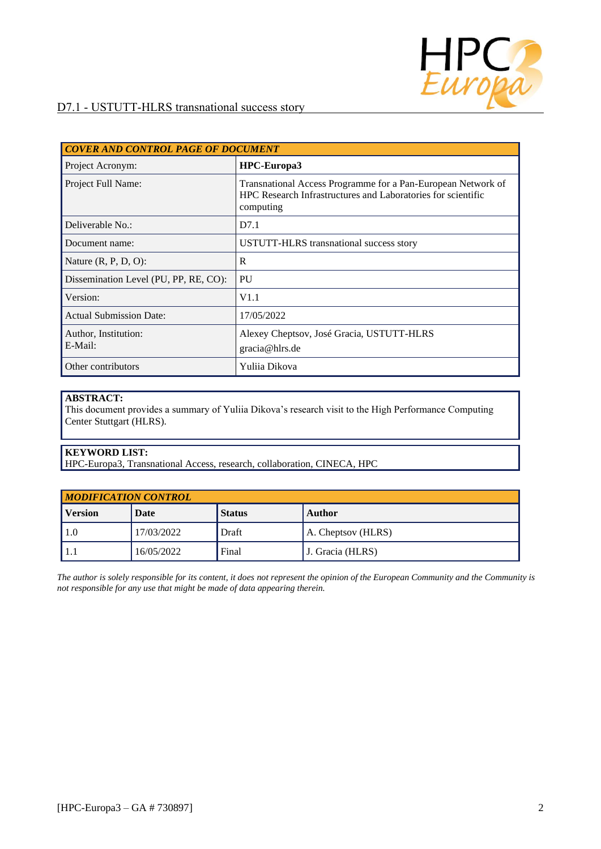

#### D7.1 - USTUTT-HLRS transnational success story

| <b>COVER AND CONTROL PAGE OF DOCUMENT</b> |                                                                                                                                           |  |  |  |
|-------------------------------------------|-------------------------------------------------------------------------------------------------------------------------------------------|--|--|--|
| Project Acronym:                          | HPC-Europa3                                                                                                                               |  |  |  |
| Project Full Name:                        | Transnational Access Programme for a Pan-European Network of<br>HPC Research Infrastructures and Laboratories for scientific<br>computing |  |  |  |
| Deliverable No.:                          | D7.1                                                                                                                                      |  |  |  |
| Document name:                            | USTUTT-HLRS transnational success story                                                                                                   |  |  |  |
| Nature $(R, P, D, O)$ :                   | R                                                                                                                                         |  |  |  |
| Dissemination Level (PU, PP, RE, CO):     | PU                                                                                                                                        |  |  |  |
| Version:                                  | V1.1                                                                                                                                      |  |  |  |
| <b>Actual Submission Date:</b>            | 17/05/2022                                                                                                                                |  |  |  |
| Author, Institution:<br>E-Mail:           | Alexey Cheptsov, José Gracia, USTUTT-HLRS<br>gracia@hlrs.de                                                                               |  |  |  |
| Other contributors                        | Yuliia Dikova                                                                                                                             |  |  |  |

#### **ABSTRACT:**

This document provides a summary of Yuliia Dikova's research visit to the High Performance Computing Center Stuttgart (HLRS).

#### **KEYWORD LIST:**

HPC-Europa3, Transnational Access, research, collaboration, CINECA, HPC

| <b>MODIFICATION CONTROL</b> |            |               |                    |  |  |  |
|-----------------------------|------------|---------------|--------------------|--|--|--|
| <b>Version</b>              | Date       | <b>Status</b> | <b>Author</b>      |  |  |  |
| 1.0                         | 17/03/2022 | Draft         | A. Cheptsov (HLRS) |  |  |  |
| -1.1                        | 16/05/2022 | Final         | J. Gracia (HLRS)   |  |  |  |

*The author is solely responsible for its content, it does not represent the opinion of the European Community and the Community is not responsible for any use that might be made of data appearing therein.*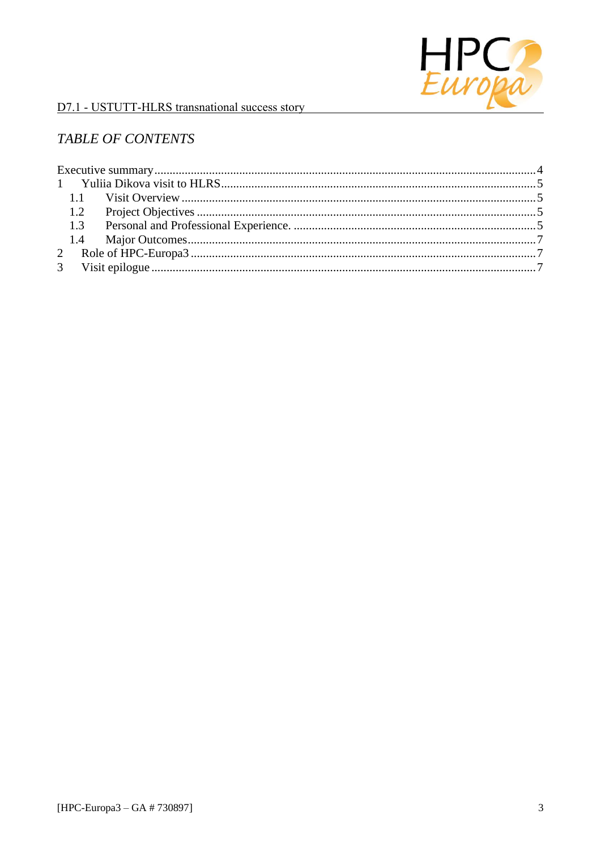

#### D7.1 - USTUTT-HLRS transnational success story

### **TABLE OF CONTENTS**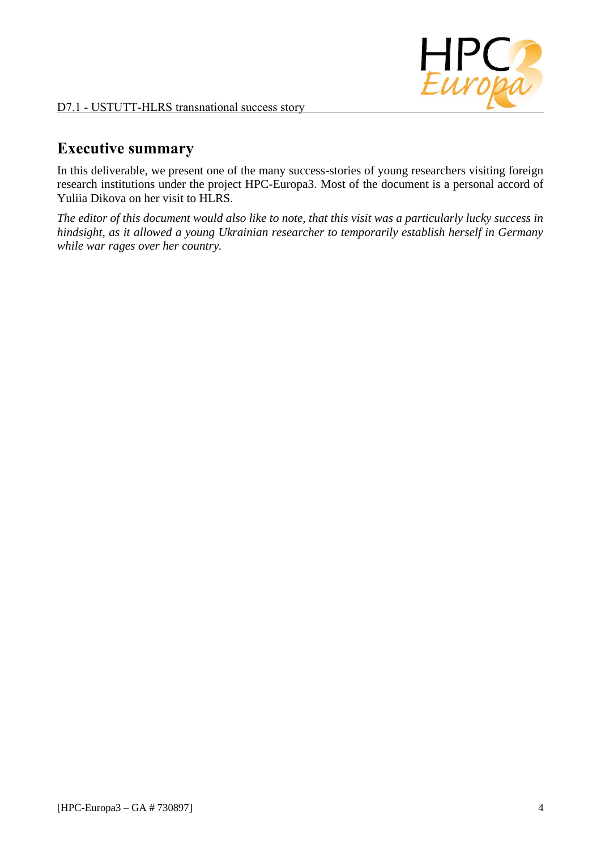

## **Executive summary**

In this deliverable, we present one of the many success-stories of young researchers visiting foreign research institutions under the project HPC-Europa3. Most of the document is a personal accord of Yuliia Dikova on her visit to HLRS.

*The editor of this document would also like to note, that this visit was a particularly lucky success in hindsight, as it allowed a young Ukrainian researcher to temporarily establish herself in Germany while war rages over her country.*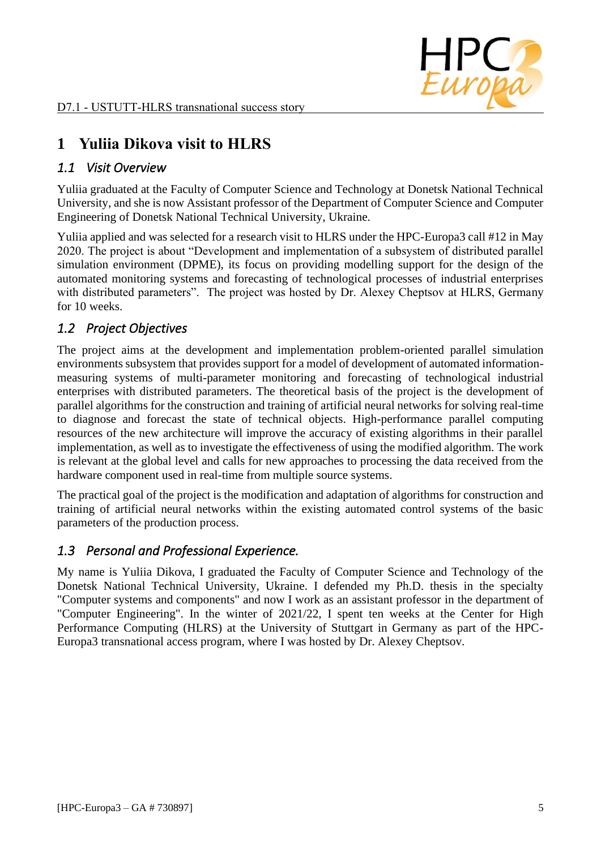# **1 Yuliia Dikova visit to HLRS**

### *1.1 Visit Overview*

Yuliia graduated at the Faculty of Computer Science and Technology at Donetsk National Technical University, and she is now Assistant professor of the Department of Computer Science and Computer Engineering of Donetsk National Technical University, Ukraine.

Yuliia applied and was selected for a research visit to HLRS under the HPC-Europa3 call #12 in May 2020. The project is about "Development and implementation of a subsystem of distributed parallel simulation environment (DPME), its focus on providing modelling support for the design of the automated monitoring systems and forecasting of technological processes of industrial enterprises with distributed parameters". The project was hosted by Dr. Alexey Cheptsov at HLRS, Germany for 10 weeks.

### *1.2 Project Objectives*

The project aims at the development and implementation problem-oriented parallel simulation environments subsystem that provides support for a model of development of automated informationmeasuring systems of multi-parameter monitoring and forecasting of technological industrial enterprises with distributed parameters. The theoretical basis of the project is the development of parallel algorithms for the construction and training of artificial neural networks for solving real-time to diagnose and forecast the state of technical objects. High-performance parallel computing resources of the new architecture will improve the accuracy of existing algorithms in their parallel implementation, as well as to investigate the effectiveness of using the modified algorithm. The work is relevant at the global level and calls for new approaches to processing the data received from the hardware component used in real-time from multiple source systems.

The practical goal of the project is the modification and adaptation of algorithms for construction and training of artificial neural networks within the existing automated control systems of the basic parameters of the production process.

### *1.3 Personal and Professional Experience.*

My name is Yuliia Dikova, I graduated the Faculty of Computer Science and Technology of the Donetsk National Technical University, Ukraine. I defended my Ph.D. thesis in the specialty "Computer systems and components" and now I work as an assistant professor in the department of "Computer Engineering". In the winter of 2021/22, I spent ten weeks at the Center for High Performance Computing (HLRS) at the University of Stuttgart in Germany as part of the HPC-Europa3 transnational access program, where I was hosted by Dr. Alexey Cheptsov.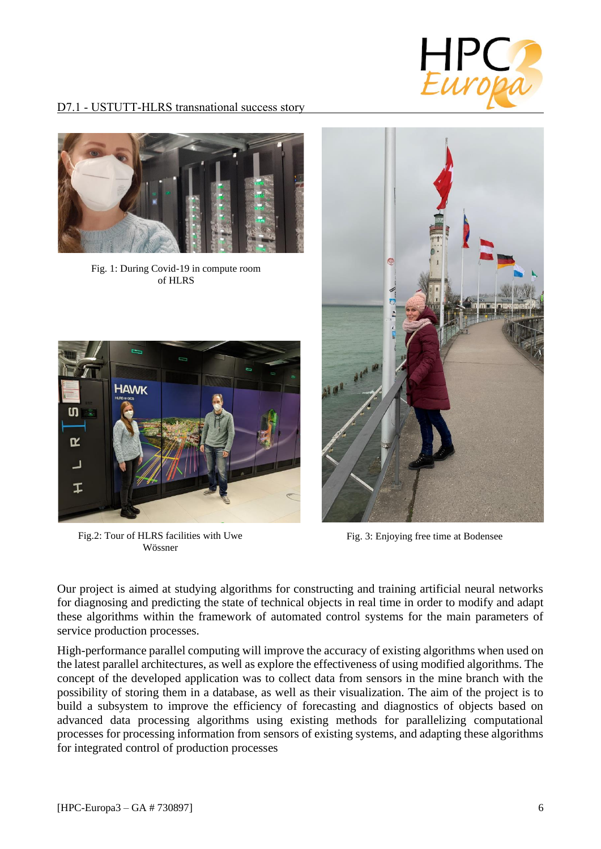

#### D7.1 - USTUTT-HLRS transnational success story



Fig. 1: During Covid-19 in compute room of HLRS



Fig. 2: Tour of HLRS facilities with Uwe Fig. 3: Enjoying free time at Bodensee Wössner



Our project is aimed at studying algorithms for constructing and training artificial neural networks for diagnosing and predicting the state of technical objects in real time in order to modify and adapt these algorithms within the framework of automated control systems for the main parameters of service production processes.

High-performance parallel computing will improve the accuracy of existing algorithms when used on the latest parallel architectures, as well as explore the effectiveness of using modified algorithms. The concept of the developed application was to collect data from sensors in the mine branch with the possibility of storing them in a database, as well as their visualization. The aim of the project is to build a subsystem to improve the efficiency of forecasting and diagnostics of objects based on advanced data processing algorithms using existing methods for parallelizing computational processes for processing information from sensors of existing systems, and adapting these algorithms for integrated control of production processes